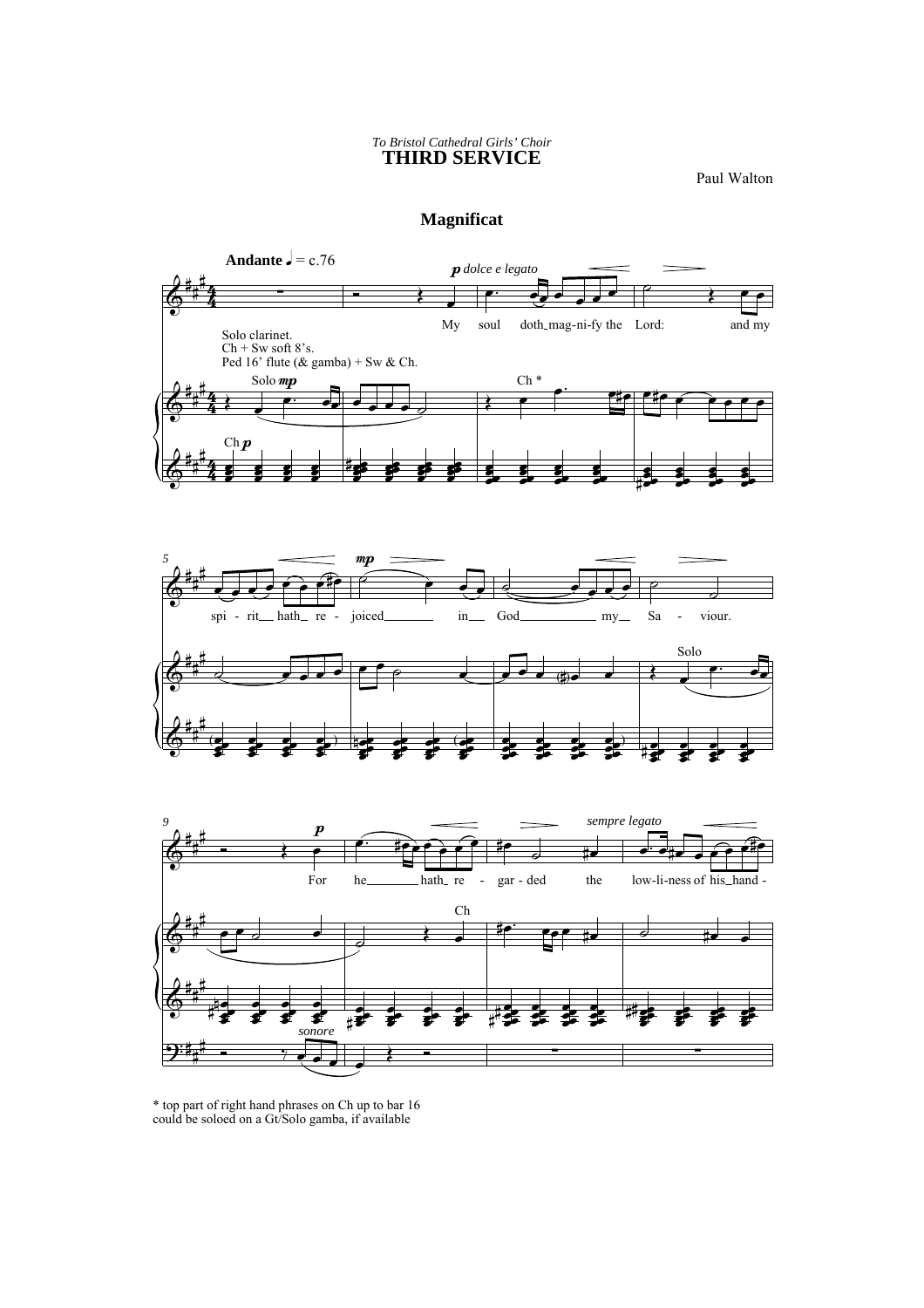## *To Bristol Cathedral Girls' Choir* **THIRD SERVICE**

Paul Walton

## **Magnificat**



\* top part of right hand phrases on Ch up to bar 16 could be soloed on a Gt/Solo gamba, if available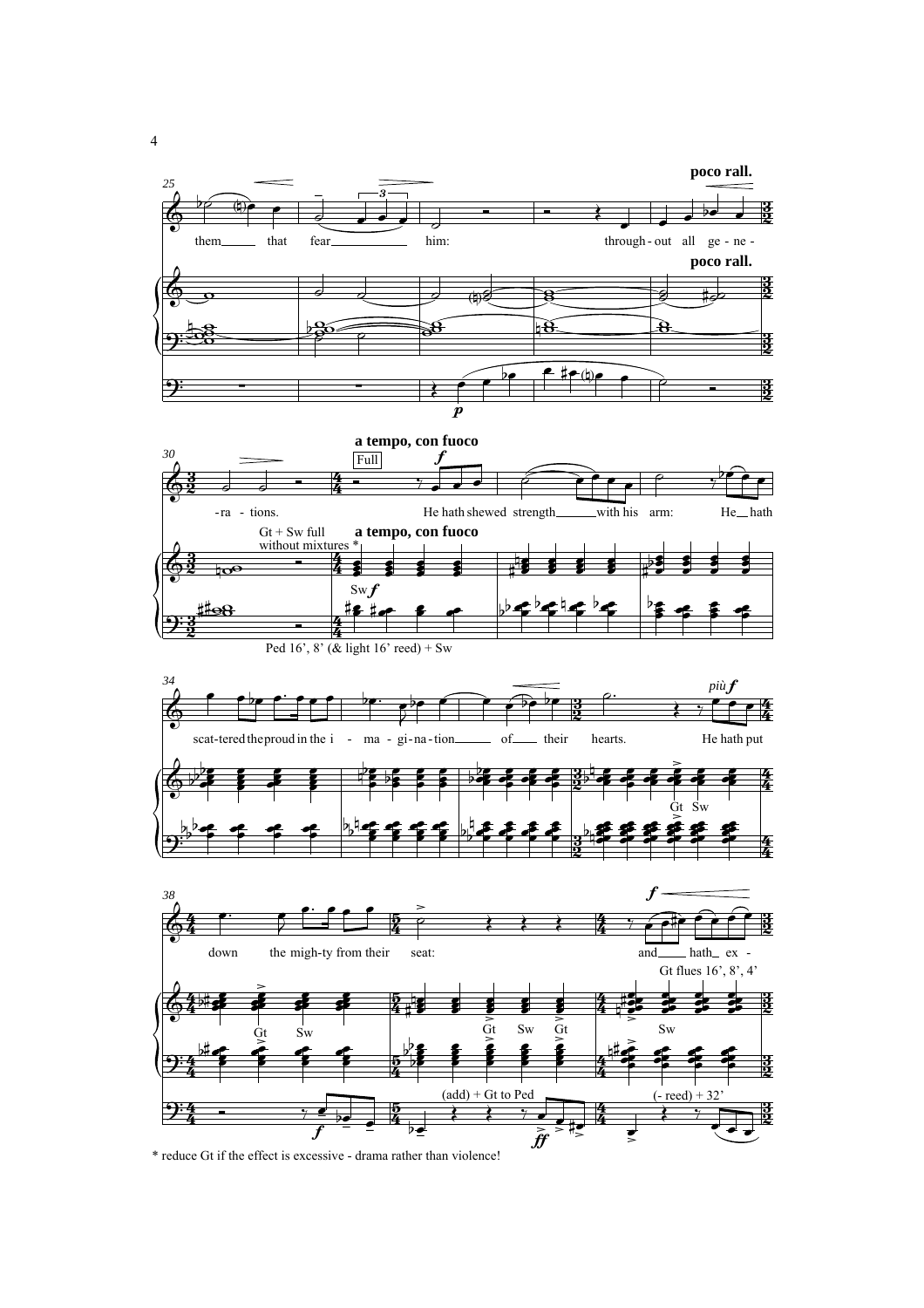

\* reduce Gt if the effect is excessive - drama rather than violence!

4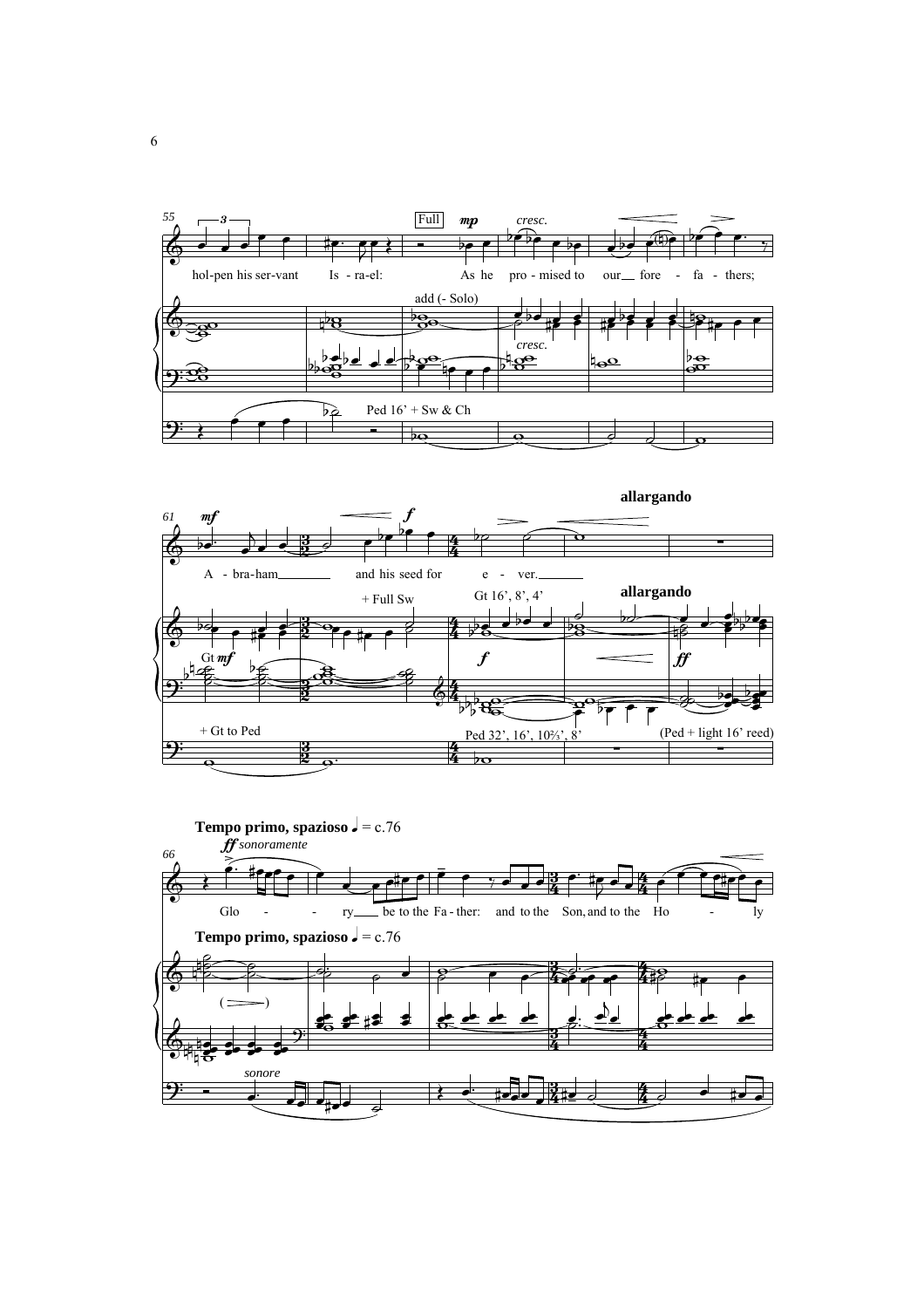



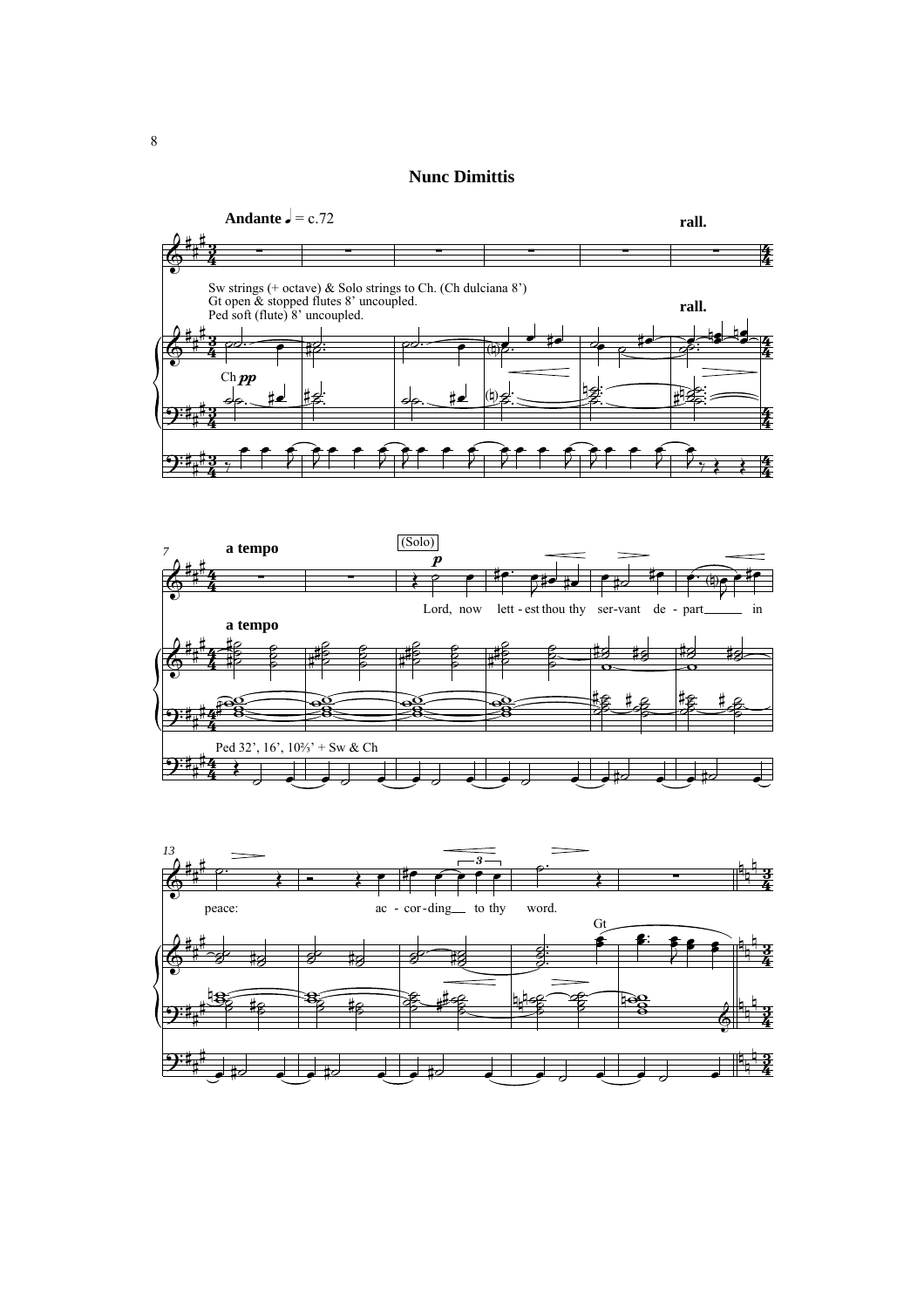## **Nunc Dimittis**